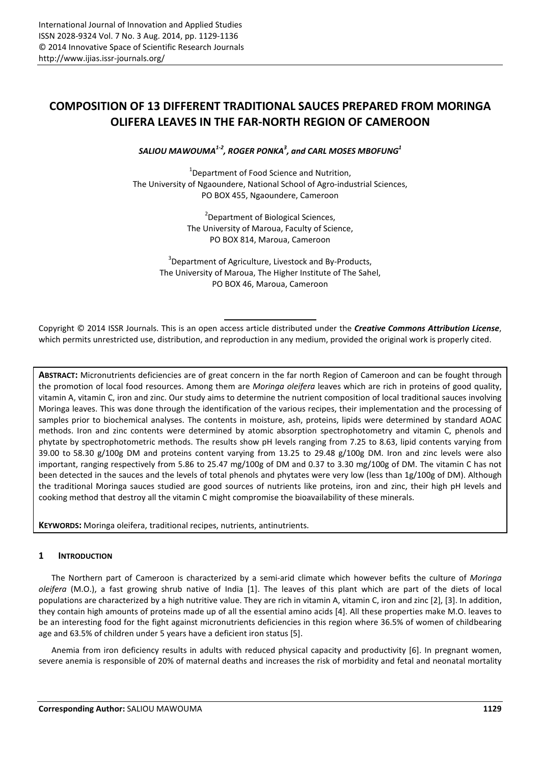# **COMPOSITION OF 13 DIFFERENT TRADITIONAL SAUCES PREPARED FROM MORINGA OLIFERA LEAVES IN THE FAR-NORTH REGION OF CAMEROON**

*SALIOU MAWOUMA1-2, ROGER PONKA<sup>3</sup> , and CARL MOSES MBOFUNG<sup>1</sup>*

 $1$ Department of Food Science and Nutrition, The University of Ngaoundere, National School of Agro-industrial Sciences, PO BOX 455, Ngaoundere, Cameroon

> <sup>2</sup> Department of Biological Sciences, The University of Maroua, Faculty of Science, PO BOX 814, Maroua, Cameroon

<sup>3</sup>Department of Agriculture, Livestock and By-Products, The University of Maroua, The Higher Institute of The Sahel, PO BOX 46, Maroua, Cameroon

Copyright © 2014 ISSR Journals. This is an open access article distributed under the *Creative Commons Attribution License*, which permits unrestricted use, distribution, and reproduction in any medium, provided the original work is properly cited.

**ABSTRACT:** Micronutrients deficiencies are of great concern in the far north Region of Cameroon and can be fought through the promotion of local food resources. Among them are *Moringa oleifera* leaves which are rich in proteins of good quality, vitamin A, vitamin C, iron and zinc. Our study aims to determine the nutrient composition of local traditional sauces involving Moringa leaves. This was done through the identification of the various recipes, their implementation and the processing of samples prior to biochemical analyses. The contents in moisture, ash, proteins, lipids were determined by standard AOAC methods. Iron and zinc contents were determined by atomic absorption spectrophotometry and vitamin C, phenols and phytate by spectrophotometric methods. The results show pH levels ranging from 7.25 to 8.63, lipid contents varying from 39.00 to 58.30 g/100g DM and proteins content varying from 13.25 to 29.48 g/100g DM. Iron and zinc levels were also important, ranging respectively from 5.86 to 25.47 mg/100g of DM and 0.37 to 3.30 mg/100g of DM. The vitamin C has not been detected in the sauces and the levels of total phenols and phytates were very low (less than 1g/100g of DM). Although the traditional Moringa sauces studied are good sources of nutrients like proteins, iron and zinc, their high pH levels and cooking method that destroy all the vitamin C might compromise the bioavailability of these minerals.

**KEYWORDS:** Moringa oleifera, traditional recipes, nutrients, antinutrients.

# **1 INTRODUCTION**

The Northern part of Cameroon is characterized by a semi-arid climate which however befits the culture of *Moringa oleifera* (M.O.), a fast growing shrub native of India [1]. The leaves of this plant which are part of the diets of local populations are characterized by a high nutritive value. They are rich in vitamin A, vitamin C, iron and zinc [2], [3]. In addition, they contain high amounts of proteins made up of all the essential amino acids [4]. All these properties make M.O. leaves to be an interesting food for the fight against micronutrients deficiencies in this region where 36.5% of women of childbearing age and 63.5% of children under 5 years have a deficient iron status [5].

Anemia from iron deficiency results in adults with reduced physical capacity and productivity [6]. In pregnant women, severe anemia is responsible of 20% of maternal deaths and increases the risk of morbidity and fetal and neonatal mortality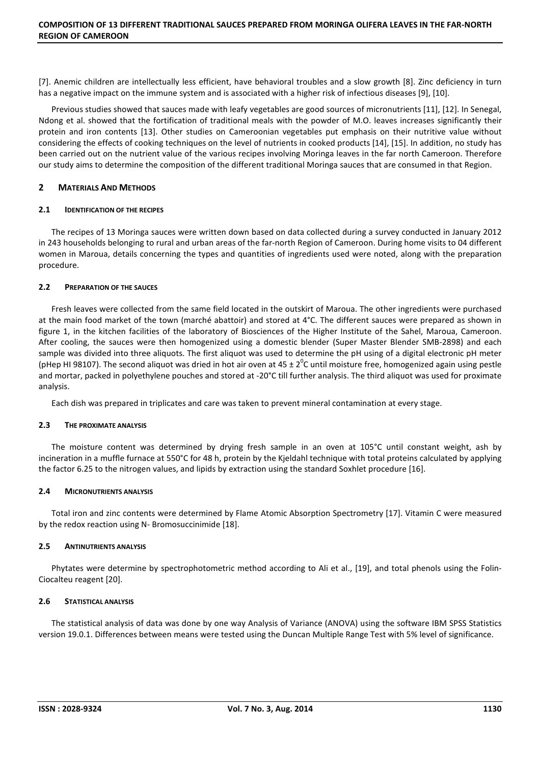[7]. Anemic children are intellectually less efficient, have behavioral troubles and a slow growth [8]. Zinc deficiency in turn has a negative impact on the immune system and is associated with a higher risk of infectious diseases [9], [10].

Previous studies showed that sauces made with leafy vegetables are good sources of micronutrients [11], [12]. In Senegal, Ndong et al. showed that the fortification of traditional meals with the powder of M.O. leaves increases significantly their protein and iron contents [13]. Other studies on Cameroonian vegetables put emphasis on their nutritive value without considering the effects of cooking techniques on the level of nutrients in cooked products [14], [15]. In addition, no study has been carried out on the nutrient value of the various recipes involving Moringa leaves in the far north Cameroon. Therefore our study aims to determine the composition of the different traditional Moringa sauces that are consumed in that Region.

# **2 MATERIALS AND METHODS**

## **2.1 IDENTIFICATION OF THE RECIPES**

The recipes of 13 Moringa sauces were written down based on data collected during a survey conducted in January 2012 in 243 households belonging to rural and urban areas of the far-north Region of Cameroon. During home visits to 04 different women in Maroua, details concerning the types and quantities of ingredients used were noted, along with the preparation procedure.

# **2.2 PREPARATION OF THE SAUCES**

Fresh leaves were collected from the same field located in the outskirt of Maroua. The other ingredients were purchased at the main food market of the town (marché abattoir) and stored at 4°C. The different sauces were prepared as shown in figure 1, in the kitchen facilities of the laboratory of Biosciences of the Higher Institute of the Sahel, Maroua, Cameroon. After cooling, the sauces were then homogenized using a domestic blender (Super Master Blender SMB-2898) and each sample was divided into three aliquots. The first aliquot was used to determine the pH using of a digital electronic pH meter (pHep HI 98107). The second aliquot was dried in hot air oven at 45 ± 2<sup>0</sup>C until moisture free, homogenized again using pestle and mortar, packed in polyethylene pouches and stored at -20°C till further analysis. The third aliquot was used for proximate analysis.

Each dish was prepared in triplicates and care was taken to prevent mineral contamination at every stage.

## **2.3 THE PROXIMATE ANALYSIS**

The moisture content was determined by drying fresh sample in an oven at 105°C until constant weight, ash by incineration in a muffle furnace at 550°C for 48 h, protein by the Kjeldahl technique with total proteins calculated by applying the factor 6.25 to the nitrogen values, and lipids by extraction using the standard Soxhlet procedure [16].

# **2.4 MICRONUTRIENTS ANALYSIS**

Total iron and zinc contents were determined by Flame Atomic Absorption Spectrometry [17]. Vitamin C were measured by the redox reaction using N- Bromosuccinimide [18].

# **2.5 ANTINUTRIENTS ANALYSIS**

Phytates were determine by spectrophotometric method according to Ali et al., [19], and total phenols using the Folin-Ciocalteu reagent [20].

# **2.6 STATISTICAL ANALYSIS**

The statistical analysis of data was done by one way Analysis of Variance (ANOVA) using the software IBM SPSS Statistics version 19.0.1. Differences between means were tested using the Duncan Multiple Range Test with 5% level of significance.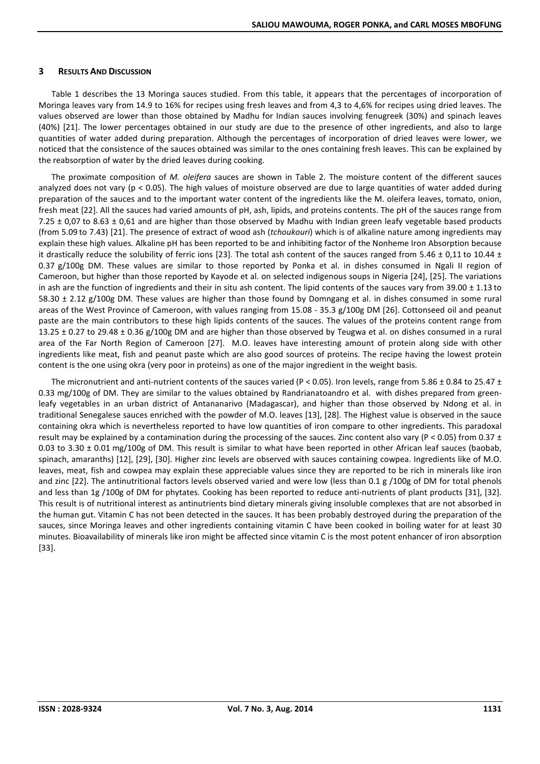#### **3 RESULTS AND DISCUSSION**

Table 1 describes the 13 Moringa sauces studied. From this table, it appears that the percentages of incorporation of Moringa leaves vary from 14.9 to 16% for recipes using fresh leaves and from 4,3 to 4,6% for recipes using dried leaves. The values observed are lower than those obtained by Madhu for Indian sauces involving fenugreek (30%) and spinach leaves (40%) [21]. The lower percentages obtained in our study are due to the presence of other ingredients, and also to large quantities of water added during preparation. Although the percentages of incorporation of dried leaves were lower, we noticed that the consistence of the sauces obtained was similar to the ones containing fresh leaves. This can be explained by the reabsorption of water by the dried leaves during cooking.

The proximate composition of *M. oleifera* sauces are shown in Table 2. The moisture content of the different sauces analyzed does not vary ( $p < 0.05$ ). The high values of moisture observed are due to large quantities of water added during preparation of the sauces and to the important water content of the ingredients like the M. oleifera leaves, tomato, onion, fresh meat [22]. All the sauces had varied amounts of pH, ash, lipids, and proteins contents. The pH of the sauces range from 7.25  $\pm$  0,07 to 8.63  $\pm$  0,61 and are higher than those observed by Madhu with Indian green leafy vegetable based products (from 5.09 to 7.43) [21]. The presence of extract of wood ash (*tchoukouri*) which is of alkaline nature among ingredients may explain these high values. Alkaline pH has been reported to be and inhibiting factor of the Nonheme Iron Absorption because it drastically reduce the solubility of ferric ions [23]. The total ash content of the sauces ranged from 5.46  $\pm$  0.11 to 10.44  $\pm$ 0.37 g/100g DM. These values are similar to those reported by Ponka et al. in dishes consumed in Ngali II region of Cameroon, but higher than those reported by Kayode et al. on selected indigenous soups in Nigeria [24], [25]. The variations in ash are the function of ingredients and their in situ ash content. The lipid contents of the sauces vary from 39.00  $\pm$  1.13 to 58.30 ± 2.12 g/100g DM. These values are higher than those found by Domngang et al. in dishes consumed in some rural areas of the West Province of Cameroon, with values ranging from 15.08 - 35.3 g/100g DM [26]. Cottonseed oil and peanut paste are the main contributors to these high lipids contents of the sauces. The values of the proteins content range from 13.25 ± 0.27 to 29.48 ± 0.36 g/100g DM and are higher than those observed by Teugwa et al. on dishes consumed in a rural area of the Far North Region of Cameroon [27]. M.O. leaves have interesting amount of protein along side with other ingredients like meat, fish and peanut paste which are also good sources of proteins. The recipe having the lowest protein content is the one using okra (very poor in proteins) as one of the major ingredient in the weight basis.

The micronutrient and anti-nutrient contents of the sauces varied (P < 0.05). Iron levels, range from 5.86  $\pm$  0.84 to 25.47  $\pm$ 0.33 mg/100g of DM. They are similar to the values obtained by Randrianatoandro et al. with dishes prepared from greenleafy vegetables in an urban district of Antananarivo (Madagascar), and higher than those observed by Ndong et al. in traditional Senegalese sauces enriched with the powder of M.O. leaves [13], [28]. The Highest value is observed in the sauce containing okra which is nevertheless reported to have low quantities of iron compare to other ingredients. This paradoxal result may be explained by a contamination during the processing of the sauces. Zinc content also vary (P < 0.05) from 0.37  $\pm$ 0.03 to 3.30  $\pm$  0.01 mg/100g of DM. This result is similar to what have been reported in other African leaf sauces (baobab, spinach, amaranths) [12], [29], [30]. Higher zinc levels are observed with sauces containing cowpea. Ingredients like of M.O. leaves, meat, fish and cowpea may explain these appreciable values since they are reported to be rich in minerals like iron and zinc [22]. The antinutritional factors levels observed varied and were low (less than 0.1 g /100g of DM for total phenols and less than 1g /100g of DM for phytates. Cooking has been reported to reduce anti-nutrients of plant products [31], [32]. This result is of nutritional interest as antinutrients bind dietary minerals giving insoluble complexes that are not absorbed in the human gut. Vitamin C has not been detected in the sauces. It has been probably destroyed during the preparation of the sauces, since Moringa leaves and other ingredients containing vitamin C have been cooked in boiling water for at least 30 minutes. Bioavailability of minerals like iron might be affected since vitamin C is the most potent enhancer of iron absorption [33].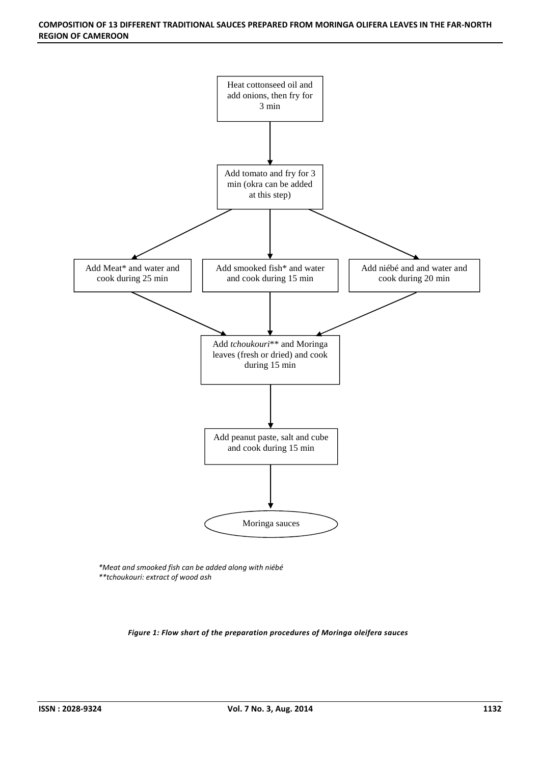#### **COMPOSITION OF 13 DIFFERENT TRADITIONAL SAUCES PREPARED FROM MORINGA OLIFERA LEAVES IN THE FAR-NORTH REGION OF CAMEROON**



*\*Meat and smooked fish can be added along with niébé \*\*tchoukouri: extract of wood ash* 

*Figure 1: Flow shart of the preparation procedures of Moringa oleifera sauces*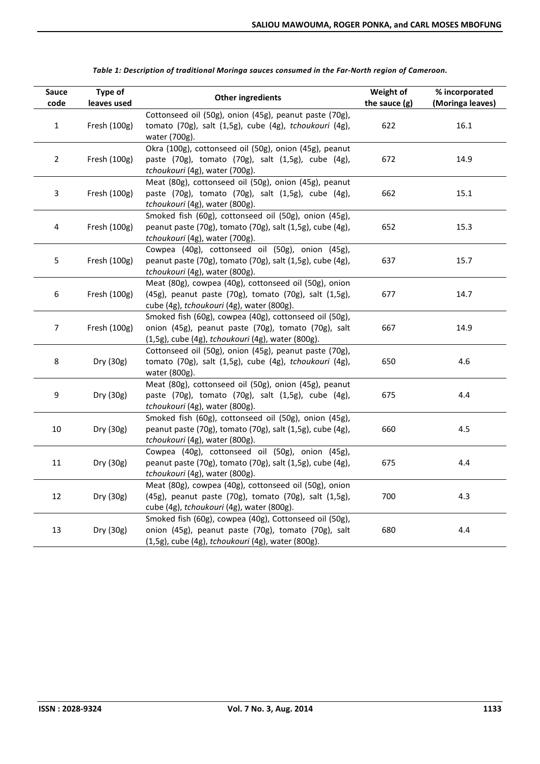| Sauce<br>code    | Type of<br>leaves used | <b>Other ingredients</b>                                                                                                                                           | Weight of<br>the sauce $(g)$ | % incorporated<br>(Moringa leaves) |
|------------------|------------------------|--------------------------------------------------------------------------------------------------------------------------------------------------------------------|------------------------------|------------------------------------|
| $\mathbf 1$      | Fresh (100g)           | Cottonseed oil (50g), onion (45g), peanut paste (70g),<br>tomato (70g), salt (1,5g), cube (4g), tchoukouri (4g),<br>water (700g).                                  | 622                          | 16.1                               |
| $\overline{2}$   | Fresh (100g)           | Okra (100g), cottonseed oil (50g), onion (45g), peanut<br>paste (70g), tomato (70g), salt (1,5g), cube (4g),<br>tchoukouri (4g), water (700g).                     | 672                          | 14.9                               |
| 3                | Fresh (100g)           | Meat (80g), cottonseed oil (50g), onion (45g), peanut<br>paste (70g), tomato (70g), salt (1,5g), cube (4g),<br>tchoukouri (4g), water (800g).                      | 662                          | 15.1                               |
| 4                | Fresh (100g)           | Smoked fish (60g), cottonseed oil (50g), onion (45g),<br>peanut paste (70g), tomato (70g), salt (1,5g), cube (4g),<br>tchoukouri (4g), water (700g).               | 652                          | 15.3                               |
| 5                | Fresh (100g)           | Cowpea (40g), cottonseed oil (50g), onion (45g),<br>peanut paste (70g), tomato (70g), salt (1,5g), cube (4g),<br>tchoukouri (4g), water (800g).                    | 637                          | 15.7                               |
| $\boldsymbol{6}$ | Fresh (100g)           | Meat (80g), cowpea (40g), cottonseed oil (50g), onion<br>(45g), peanut paste (70g), tomato (70g), salt (1,5g),<br>cube (4g), tchoukouri (4g), water (800g).        | 677                          | 14.7                               |
| 7                | Fresh (100g)           | Smoked fish (60g), cowpea (40g), cottonseed oil (50g),<br>onion (45g), peanut paste (70g), tomato (70g), salt<br>(1,5g), cube (4g), tchoukouri (4g), water (800g). | 667                          | 14.9                               |
| 8                | Dry (30g)              | Cottonseed oil (50g), onion (45g), peanut paste (70g),<br>tomato (70g), salt (1,5g), cube (4g), tchoukouri (4g),<br>water (800g).                                  | 650                          | 4.6                                |
| 9                | Dry (30g)              | Meat (80g), cottonseed oil (50g), onion (45g), peanut<br>paste (70g), tomato (70g), salt (1,5g), cube (4g),<br>tchoukouri (4g), water (800g).                      | 675                          | 4.4                                |
| 10               | Dry (30g)              | Smoked fish (60g), cottonseed oil (50g), onion (45g),<br>peanut paste (70g), tomato (70g), salt (1,5g), cube (4g),<br>tchoukouri (4g), water (800g).               | 660                          | 4.5                                |
| 11               | Dry (30g)              | Cowpea (40g), cottonseed oil (50g), onion (45g),<br>peanut paste (70g), tomato (70g), salt (1,5g), cube (4g),<br>tchoukouri (4g), water (800g).                    | 675                          | 4.4                                |
| 12               | Dry (30g)              | Meat (80g), cowpea (40g), cottonseed oil (50g), onion<br>(45g), peanut paste (70g), tomato (70g), salt (1,5g),<br>cube (4g), tchoukouri (4g), water (800g).        | 700                          | 4.3                                |
| 13               | Dry (30g)              | Smoked fish (60g), cowpea (40g), Cottonseed oil (50g),<br>onion (45g), peanut paste (70g), tomato (70g), salt<br>(1,5g), cube (4g), tchoukouri (4g), water (800g). | 680                          | 4.4                                |

*Table 1: Description of traditional Moringa sauces consumed in the Far-North region of Cameroon.*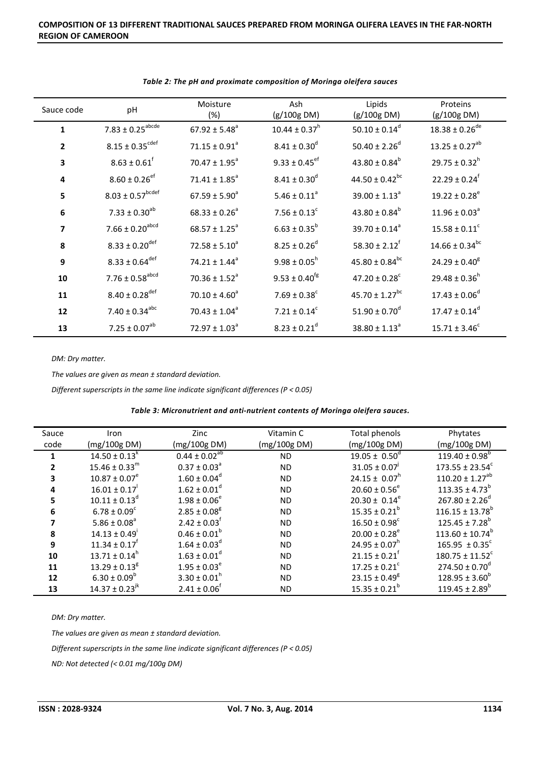| Sauce code              | pH                               | Moisture<br>(%)               | Ash<br>(g/100g DM)            | Lipids<br>(g/100g DM)          | Proteins<br>(g/100g DM)        |
|-------------------------|----------------------------------|-------------------------------|-------------------------------|--------------------------------|--------------------------------|
| $\mathbf 1$             | $7.83 \pm 0.25$ <sup>abcde</sup> | $67.92 \pm 5.48^a$            | $10.44 \pm 0.37$ <sup>n</sup> | 50.10 ± $0.14^d$               | $18.38 \pm 0.26$ <sup>de</sup> |
| $\mathbf{2}$            | $8.15 \pm 0.35^{\text{cdef}}$    | $71.15 \pm 0.91^a$            | $8.41 \pm 0.30$ <sup>d</sup>  | 50.40 ± 2.26 <sup>d</sup>      | $13.25 \pm 0.27^{ab}$          |
| 3                       | $8.63 \pm 0.61$ <sup>f</sup>     | $70.47 \pm 1.95^{\circ}$      | $9.33 \pm 0.45$ <sup>ef</sup> | $43.80 \pm 0.84^b$             | $29.75 \pm 0.32$ <sup>h</sup>  |
| $\overline{\mathbf{4}}$ | $8.60 \pm 0.26$ <sup>ef</sup>    | $71.41 \pm 1.85$ <sup>a</sup> | $8.41 \pm 0.30$ <sup>d</sup>  | 44.50 ± $0.42^{bc}$            | $22.29 \pm 0.24$ <sup>f</sup>  |
| 5                       | $8.03 \pm 0.57$ <sup>bcdef</sup> | $67.59 \pm 5.90^{\circ}$      | $5.46 \pm 0.11^a$             | $39.00 \pm 1.13^{\circ}$       | $19.22 \pm 0.28^e$             |
| $\bf 6$                 | $7.33 \pm 0.30^{ab}$             | $68.33 \pm 0.26^a$            | $7.56 \pm 0.13$ <sup>c</sup>  | 43.80 ± $0.84^b$               | $11.96 \pm 0.03^a$             |
| $\overline{\mathbf{z}}$ | $7.66 \pm 0.20$ <sup>abcd</sup>  | $68.57 \pm 1.25^a$            | $6.63 \pm 0.35^b$             | $39.70 \pm 0.14^a$             | $15.58 \pm 0.11^c$             |
| 8                       | $8.33 \pm 0.20$ <sup>def</sup>   | $72.58 \pm 5.10^a$            | $8.25 \pm 0.26$ <sup>d</sup>  | $58.30 \pm 2.12^{\dagger}$     | $14.66 \pm 0.34$ <sup>bc</sup> |
| 9                       | $8.33 \pm 0.64$ <sup>def</sup>   | $74.21 \pm 1.44^a$            | $9.98 \pm 0.05^h$             | $45.80 \pm 0.84$ <sup>bc</sup> | $24.29 \pm 0.40^8$             |
| 10                      | $7.76 \pm 0.58$ <sup>abcd</sup>  | $70.36 \pm 1.52^a$            | $9.53 \pm 0.40^{\text{fg}}$   | $47.20 \pm 0.28$ <sup>c</sup>  | $29.48 \pm 0.36$ <sup>h</sup>  |
| 11                      | $8.40 \pm 0.28$ <sup>def</sup>   | $70.10 \pm 4.60^a$            | $7.69 \pm 0.38$ <sup>c</sup>  | $45.70 \pm 1.27$ <sup>bc</sup> | $17.43 \pm 0.06^d$             |
| 12                      | $7.40 \pm 0.34^{abc}$            | $70.43 \pm 1.04^a$            | $7.21 \pm 0.14^c$             | $51.90 \pm 0.70$ <sup>d</sup>  | $17.47 \pm 0.14^d$             |
| 13                      | $7.25 \pm 0.07^{ab}$             | $72.97 \pm 1.03^a$            | $8.23 \pm 0.21$ <sup>d</sup>  | $38.80 \pm 1.13^a$             | $15.71 \pm 3.46^c$             |

#### *Table 2: The pH and proximate composition of Moringa oleifera sauces*

*DM: Dry matter.* 

*The values are given as mean ± standard deviation.* 

*Different superscripts in the same line indicate significant differences (P < 0.05)* 

| Table 3: Micronutrient and anti-nutrient contents of Moringa oleifera sauces. |  |
|-------------------------------------------------------------------------------|--|
|                                                                               |  |

| Sauce | Iron                           | Zinc                         | Vitamin C    | Total phenols                 | Phytates                       |
|-------|--------------------------------|------------------------------|--------------|-------------------------------|--------------------------------|
| code  | (mg/100g DM)                   | (mg/100g DM)                 | (mg/100g DM) | (mg/100g DM)                  | (mg/100g DM)                   |
|       | $14.50 \pm 0.13^k$             | $0.44 \pm 0.02^{ab}$         | ND           | $19.05 \pm 0.50^{\circ}$      | $119.40 \pm 0.98^{\circ}$      |
|       | $15.46 \pm 0.33$ <sup>m</sup>  | $0.37 \pm 0.03^{\circ}$      | <b>ND</b>    | $31.05 \pm 0.07$              | $173.55 \pm 23.54^c$           |
|       | $10.87 \pm 0.07^e$             | $1.60 \pm 0.04^d$            | ND           | $24.15 \pm 0.07$ <sup>h</sup> | $110.20 \pm 1.27^{ab}$         |
| 4     | $16.01 \pm 0.17$               | $1.62 \pm 0.01$ <sup>d</sup> | <b>ND</b>    | $20.60 \pm 0.56^e$            | $113.35 \pm 4.73^b$            |
|       | $10.11 \pm 0.13^d$             | $1.98 \pm 0.06^e$            | ND.          | $20.30 \pm 0.14^e$            | $267.80 \pm 2.26^d$            |
| 6     | $6.78 \pm 0.09^c$              | $2.85 \pm 0.08^8$            | <b>ND</b>    | $15.35 \pm 0.21^b$            | $116.15 \pm 13.78^b$           |
|       | $5.86 \pm 0.08^{\circ}$        | $2.42 \pm 0.03$ <sup>t</sup> | <b>ND</b>    | $16.50 \pm 0.98^{\circ}$      | $125.45 \pm 7.28^b$            |
| 8     | $14.13 \pm 0.49$               | $0.46 \pm 0.01^b$            | <b>ND</b>    | $20.00 \pm 0.28^e$            | $113.60 \pm 10.74^b$           |
| 9     | $11.34 \pm 0.17$               | $1.64 \pm 0.03^{\circ}$      | <b>ND</b>    | $24.95 \pm 0.07$ <sup>n</sup> | $165.95 \pm 0.35^{\circ}$      |
| 10    | $13.71 \pm 0.14^h$             | $1.63 \pm 0.01^d$            | <b>ND</b>    | $21.15 \pm 0.21$              | $180.75 \pm 11.52^c$           |
| 11    | $13.29 \pm 0.13^8$             | $1.95 \pm 0.03^e$            | ND.          | $17.25 \pm 0.21$ <sup>c</sup> | $274.50 \pm 0.70$ <sup>d</sup> |
| 12    | $6.30 \pm 0.09^{\circ}$        | $3.30 \pm 0.01$ <sup>n</sup> | ND.          | $23.15 \pm 0.49^8$            | $128.95 \pm 3.60^{\circ}$      |
| 13    | $14.37 \pm 0.23$ <sup>jk</sup> | $2.41 \pm 0.06^{\dagger}$    | <b>ND</b>    | $15.35 \pm 0.21^b$            | $119.45 \pm 2.89^b$            |

*DM: Dry matter.* 

*The values are given as mean ± standard deviation.* 

*Different superscripts in the same line indicate significant differences (P < 0.05)* 

*ND: Not detected (˂ 0.01 mg/100g DM)*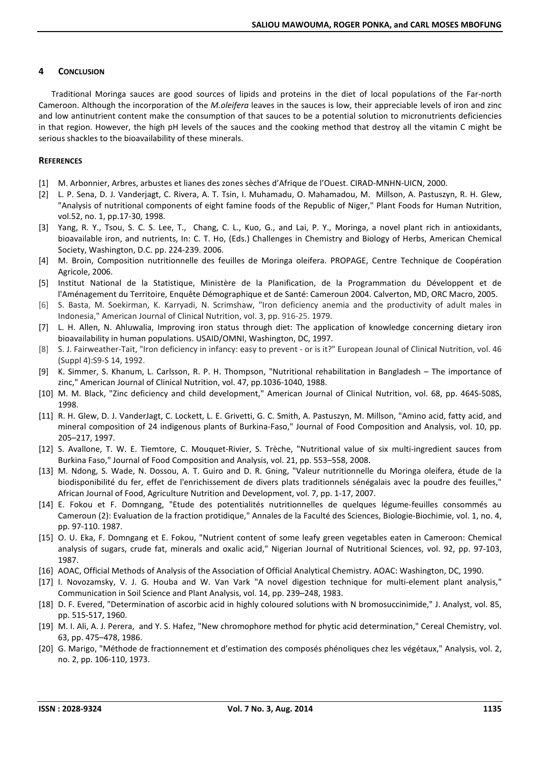## **4 CONCLUSION**

Traditional Moringa sauces are good sources of lipids and proteins in the diet of local populations of the Far-north Cameroon. Although the incorporation of the *M.oleifera* leaves in the sauces is low, their appreciable levels of iron and zinc and low antinutrient content make the consumption of that sauces to be a potential solution to micronutrients deficiencies in that region. However, the high pH levels of the sauces and the cooking method that destroy all the vitamin C might be serious shackles to the bioavailability of these minerals.

## **REFERENCES**

- [1] M. Arbonnier, Arbres, arbustes et lianes des zones sèches d'Afrique de l'Ouest. CIRAD-MNHN-UICN, 2000.
- [2] L. P. Sena, D. J. Vanderjagt, C. Rivera, A. T. Tsin, I. Muhamadu, O. Mahamadou, M. Millson, A. Pastuszyn, R. H. Glew, "Analysis of nutritional components of eight famine foods of the Republic of Niger," Plant Foods for Human Nutrition, vol.52, no. 1, pp.17-30, 1998.
- [3] Yang, R. Y., Tsou, S. C. S. Lee, T., Chang, C. L., Kuo, G., and Lai, P. Y., Moringa, a novel plant rich in antioxidants, bioavailable iron, and nutrients, In: C. T. Ho, (Eds.) Challenges in Chemistry and Biology of Herbs, American Chemical Society, Washington, D.C. pp. 224-239. 2006.
- [4] M. Broin, Composition nutritionnelle des feuilles de Moringa oleifera. PROPAGE, Centre Technique de Coopération Agricole, 2006.
- [5] Institut National de la Statistique, Ministère de la Planification, de la Programmation du Développent et de l'Aménagement du Territoire, Enquête Démographique et de Santé: Cameroun 2004. Calverton, MD, ORC Macro, 2005.
- [6] S. Basta, M. Soekirman, K. Karryadi, N. Scrimshaw, "Iron deficiency anemia and the productivity of adult males in Indonesia," American Journal of Clinical Nutrition, vol. 3, pp. 916-25. 1979.
- [7] L. H. Allen, N. Ahluwalia, Improving iron status through diet: The application of knowledge concerning dietary iron bioavailability in human populations. USAID/OMNI, Washington, DC, 1997.
- [8] S. J. Fairweather-Tait, "Iron deficiency in infancy: easy to prevent or is it?" European Jounal of Clinical Nutrition, vol. 46 (Suppl 4):S9-S 14, 1992.
- [9] K. Simmer, S. Khanum, L. Carlsson, R. P. H. Thompson, "Nutritional rehabilitation in Bangladesh The importance of zinc," American Journal of Clinical Nutrition, vol. 47, pp.1036-1040, 1988.
- [10] M. M. Black, "Zinc deficiency and child development," American Journal of Clinical Nutrition, vol. 68, pp. 464S-508S, 1998.
- [11] R. H. Glew, D. J. VanderJagt, C. Lockett, L. E. Grivetti, G. C. Smith, A. Pastuszyn, M. Millson, "Amino acid, fatty acid, and mineral composition of 24 indigenous plants of Burkina-Faso," Journal of Food Composition and Analysis, vol. 10, pp. 205–217, 1997.
- [12] S. Avallone, T. W. E. Tiemtore, C. Mouquet-Rivier, S. Trèche, "Nutritional value of six multi-ingredient sauces from Burkina Faso," Journal of Food Composition and Analysis, vol. 21, pp. 553–558, 2008.
- [13] M. Ndong, S. Wade, N. Dossou, A. T. Guiro and D. R. Gning, "Valeur nutritionnelle du Moringa oleifera, étude de la biodisponibilité du fer, effet de l'enrichissement de divers plats traditionnels sénégalais avec la poudre des feuilles," African Journal of Food, Agriculture Nutrition and Development, vol. 7, pp. 1-17, 2007.
- [14] E. Fokou et F. Domngang, "Etude des potentialités nutritionnelles de quelques légume-feuilles consommés au Cameroun (2): Evaluation de la fraction protidique," Annales de la Faculté des Sciences, Biologie-Biochimie, vol. 1, no. 4, pp. 97-110. 1987.
- [15] O. U. Eka, F. Domngang et E. Fokou, "Nutrient content of some leafy green vegetables eaten in Cameroon: Chemical analysis of sugars, crude fat, minerals and oxalic acid," Nigerian Journal of Nutritional Sciences, vol. 92, pp. 97-103, 1987.
- [16] AOAC, Official Methods of Analysis of the Association of Official Analytical Chemistry. AOAC: Washington, DC, 1990.
- [17] I. Novozamsky, V. J. G. Houba and W. Van Vark "A novel digestion technique for multi-element plant analysis," Communication in Soil Science and Plant Analysis, vol. 14, pp. 239–248, 1983.
- [18] D. F. Evered, "Determination of ascorbic acid in highly coloured solutions with N bromosuccinimide," J. Analyst, vol. 85, pp. 515-517, 1960.
- [19] M. I. Ali, A. J. Perera, and Y. S. Hafez, "New chromophore method for phytic acid determination," Cereal Chemistry, vol. 63, pp. 475–478, 1986.
- [20] G. Marigo, "Méthode de fractionnement et d'estimation des composés phénoliques chez les végétaux," Analysis, vol. 2, no. 2, pp. 106-110, 1973.